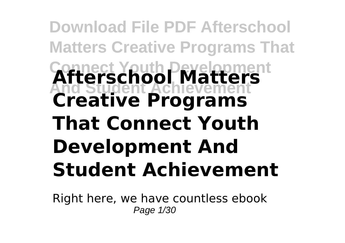# **Download File PDF Afterschool Matters Creative Programs That Connect Youth Development And Student Achievement Afterschool Matters Creative Programs That Connect Youth Development And Student Achievement**

Right here, we have countless ebook Page 1/30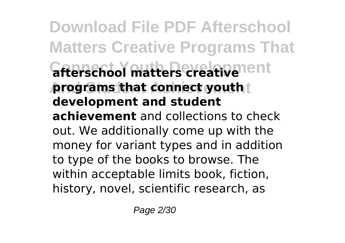**Download File PDF Afterschool Matters Creative Programs That** *<u>afterschool matters creativement</u>* **programs that connect youth t development and student achievement** and collections to check out. We additionally come up with the money for variant types and in addition to type of the books to browse. The within acceptable limits book, fiction, history, novel, scientific research, as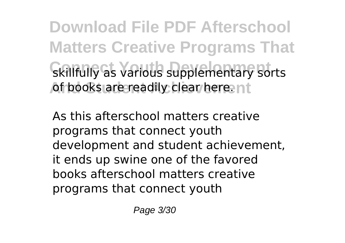**Download File PDF Afterschool Matters Creative Programs That** skillfully as various supplementary sorts of books are readily clear here. nt

As this afterschool matters creative programs that connect youth development and student achievement, it ends up swine one of the favored books afterschool matters creative programs that connect youth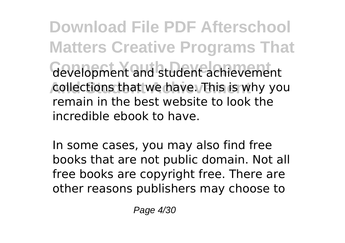**Download File PDF Afterschool Matters Creative Programs That** development and student achievement collections that we have. This is why you remain in the best website to look the incredible ebook to have.

In some cases, you may also find free books that are not public domain. Not all free books are copyright free. There are other reasons publishers may choose to

Page 4/30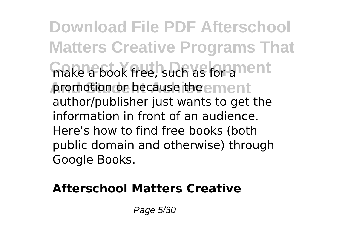**Download File PDF Afterschool Matters Creative Programs That** make a book free, such as for a nent promotion or because the ement author/publisher just wants to get the information in front of an audience. Here's how to find free books (both public domain and otherwise) through Google Books.

#### **Afterschool Matters Creative**

Page 5/30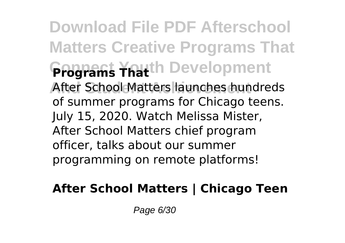**Download File PDF Afterschool Matters Creative Programs That Programs Thath Development** After School Matters launches hundreds of summer programs for Chicago teens. July 15, 2020. Watch Melissa Mister, After School Matters chief program officer, talks about our summer programming on remote platforms!

## **After School Matters | Chicago Teen**

Page 6/30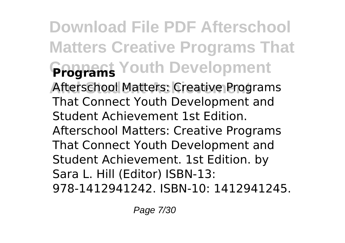**Download File PDF Afterschool Matters Creative Programs That Frograms** Youth Development Afterschool Matters: Creative Programs That Connect Youth Development and Student Achievement 1st Edition. Afterschool Matters: Creative Programs That Connect Youth Development and Student Achievement. 1st Edition. by Sara L. Hill (Editor) ISBN-13: 978-1412941242. ISBN-10: 1412941245.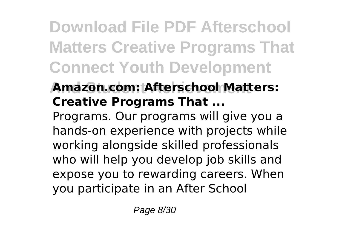**Download File PDF Afterschool Matters Creative Programs That Connect Youth Development**

# **And Student Achievement Amazon.com: Afterschool Matters: Creative Programs That ...**

Programs. Our programs will give you a hands-on experience with projects while working alongside skilled professionals who will help you develop job skills and expose you to rewarding careers. When you participate in an After School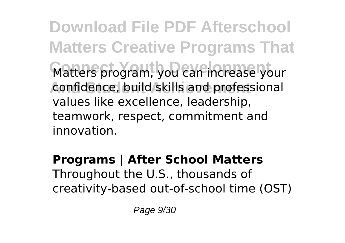**Download File PDF Afterschool Matters Creative Programs That** Matters program, you can increase your confidence, build skills and professional values like excellence, leadership, teamwork, respect, commitment and innovation.

#### **Programs | After School Matters** Throughout the U.S., thousands of creativity-based out-of-school time (OST)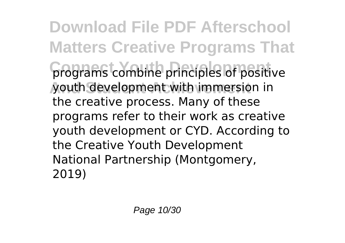**Download File PDF Afterschool Matters Creative Programs That** programs combine principles of positive **And Student Achievement** youth development with immersion in the creative process. Many of these programs refer to their work as creative youth development or CYD. According to the Creative Youth Development National Partnership (Montgomery, 2019)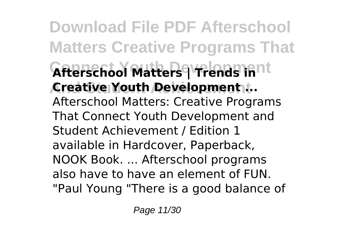**Download File PDF Afterschool Matters Creative Programs That Afterschool Matters | Trends in**nt **And Student Achievement Creative Youth Development ...** Afterschool Matters: Creative Programs That Connect Youth Development and Student Achievement / Edition 1 available in Hardcover, Paperback, NOOK Book. ... Afterschool programs also have to have an element of FUN. "Paul Young "There is a good balance of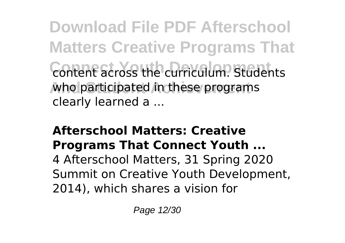**Download File PDF Afterschool Matters Creative Programs That Content across the curriculum. Students** who participated in these programs clearly learned a ...

#### **Afterschool Matters: Creative Programs That Connect Youth ...**

4 Afterschool Matters, 31 Spring 2020 Summit on Creative Youth Development, 2014), which shares a vision for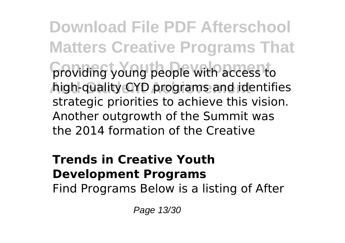**Download File PDF Afterschool Matters Creative Programs That** providing young people with access to **And Student Achievement** high-quality CYD programs and identifies strategic priorities to achieve this vision. Another outgrowth of the Summit was the 2014 formation of the Creative

#### **Trends in Creative Youth Development Programs**

Find Programs Below is a listing of After

Page 13/30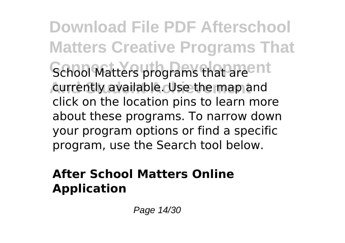**Download File PDF Afterschool Matters Creative Programs That** School Matters programs that are<sup>ent</sup> currently available. Use the map and click on the location pins to learn more about these programs. To narrow down your program options or find a specific program, use the Search tool below.

## **After School Matters Online Application**

Page 14/30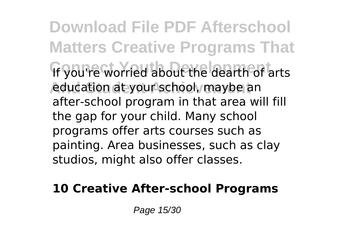**Download File PDF Afterschool Matters Creative Programs That** If you're worried about the dearth of arts **Aducation at your school, maybe an** after-school program in that area will fill the gap for your child. Many school programs offer arts courses such as painting. Area businesses, such as clay studios, might also offer classes.

#### **10 Creative After-school Programs**

Page 15/30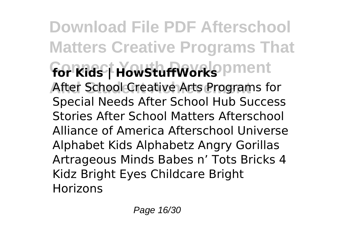**Download File PDF Afterschool Matters Creative Programs That** for Kids | HowStuffWorks pment After School Creative Arts Programs for Special Needs After School Hub Success Stories After School Matters Afterschool Alliance of America Afterschool Universe Alphabet Kids Alphabetz Angry Gorillas Artrageous Minds Babes n' Tots Bricks 4 Kidz Bright Eyes Childcare Bright Horizons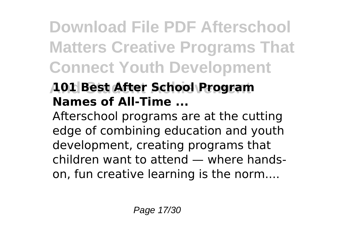**Download File PDF Afterschool Matters Creative Programs That Connect Youth Development**

# **And Student Achievement 101 Best After School Program Names of All-Time ...**

Afterschool programs are at the cutting edge of combining education and youth development, creating programs that children want to attend — where handson, fun creative learning is the norm....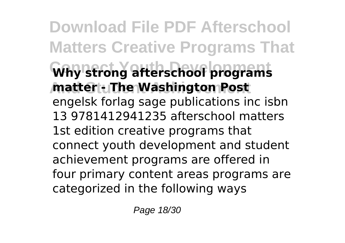**Download File PDF Afterschool Matters Creative Programs That Connect Youth Development Why strong afterschool programs And Student Achievement matter - The Washington Post** engelsk forlag sage publications inc isbn 13 9781412941235 afterschool matters 1st edition creative programs that connect youth development and student achievement programs are offered in four primary content areas programs are categorized in the following ways

Page 18/30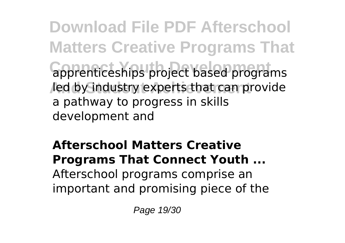**Download File PDF Afterschool Matters Creative Programs That** apprenticeships project based programs led by industry experts that can provide a pathway to progress in skills development and

## **Afterschool Matters Creative Programs That Connect Youth ...** Afterschool programs comprise an important and promising piece of the

Page 19/30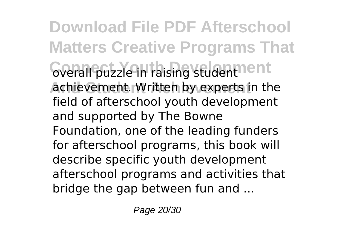**Download File PDF Afterschool Matters Creative Programs That** overall puzzle in raising student<sup>nent</sup> **Achievement. Written by experts in the** field of afterschool youth development and supported by The Bowne Foundation, one of the leading funders for afterschool programs, this book will describe specific youth development afterschool programs and activities that bridge the gap between fun and ...

Page 20/30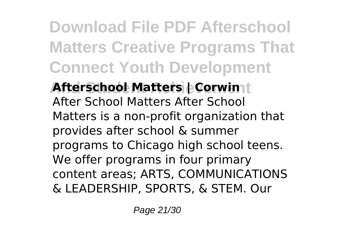**Download File PDF Afterschool Matters Creative Programs That Connect Youth Development**

**Afterschool Matters | Corwin** | After School Matters After School Matters is a non-profit organization that provides after school & summer programs to Chicago high school teens. We offer programs in four primary content areas; ARTS, COMMUNICATIONS & LEADERSHIP, SPORTS, & STEM. Our

Page 21/30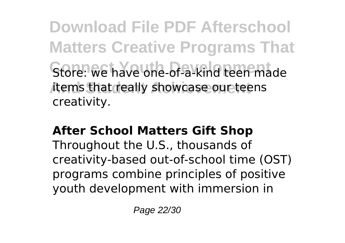**Download File PDF Afterschool Matters Creative Programs That** Store: we have one-of-a-kind teen made items that really showcase our teens creativity.

#### **After School Matters Gift Shop**

Throughout the U.S., thousands of creativity-based out-of-school time (OST) programs combine principles of positive youth development with immersion in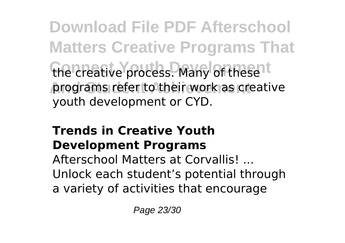**Download File PDF Afterschool Matters Creative Programs That** the creative process. Many of these<sup>1t</sup> programs refer to their work as creative youth development or CYD.

## **Trends in Creative Youth Development Programs**

Afterschool Matters at Corvallis! ... Unlock each student's potential through a variety of activities that encourage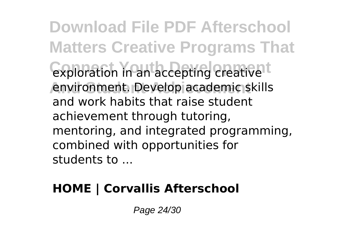**Download File PDF Afterschool Matters Creative Programs That** exploration in an accepting creative<sup>t</sup> environment. Develop academic skills and work habits that raise student achievement through tutoring, mentoring, and integrated programming, combined with opportunities for students to ...

## **HOME | Corvallis Afterschool**

Page 24/30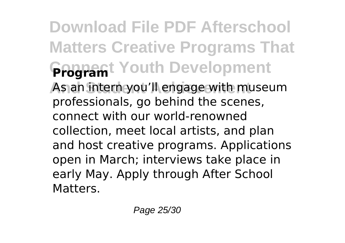**Download File PDF Afterschool Matters Creative Programs That Gragramt Youth Development** As an intern you'll engage with museum professionals, go behind the scenes, connect with our world-renowned collection, meet local artists, and plan and host creative programs. Applications open in March; interviews take place in early May. Apply through After School **Matters**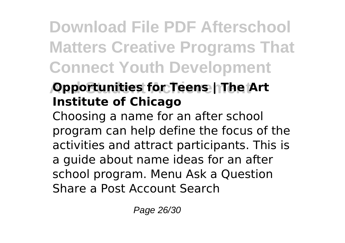**Download File PDF Afterschool Matters Creative Programs That Connect Youth Development**

# **ADD Actualities for Teens | The Art Institute of Chicago**

Choosing a name for an after school program can help define the focus of the activities and attract participants. This is a guide about name ideas for an after school program. Menu Ask a Question Share a Post Account Search

Page 26/30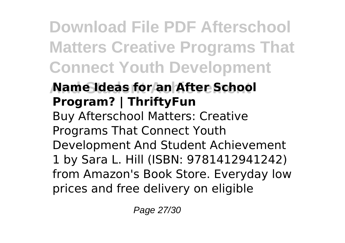**Download File PDF Afterschool Matters Creative Programs That Connect Youth Development**

# **And Student Achievement Name Ideas for an After School Program? | ThriftyFun**

Buy Afterschool Matters: Creative Programs That Connect Youth Development And Student Achievement 1 by Sara L. Hill (ISBN: 9781412941242) from Amazon's Book Store. Everyday low prices and free delivery on eligible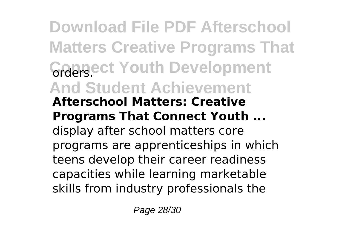**Download File PDF Afterschool Matters Creative Programs That Graersect Youth Development And Student Achievement Afterschool Matters: Creative Programs That Connect Youth ...** display after school matters core programs are apprenticeships in which teens develop their career readiness capacities while learning marketable skills from industry professionals the

Page 28/30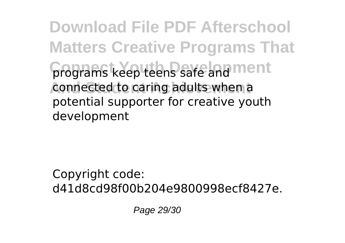**Download File PDF Afterschool Matters Creative Programs That** programs keep teens safe and ment connected to caring adults when a potential supporter for creative youth development

Copyright code: d41d8cd98f00b204e9800998ecf8427e.

Page 29/30